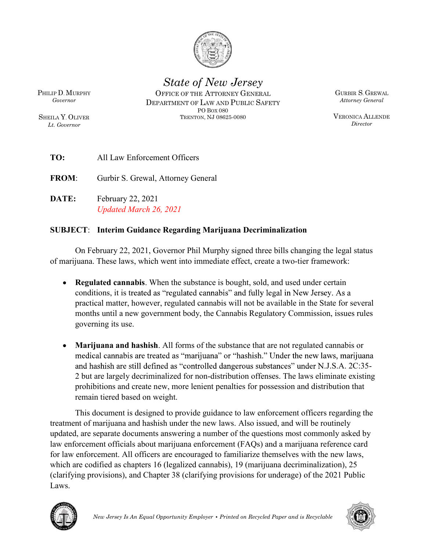

State of New Jersey

Lt. Governor

PHILIP D. MURPHY **OFFICE OF THE ATTORNEY GENERAL** GURBIR S. GREWAL Governor **DEPARTMENT OF LAW AND PUBLIC SAFETY** SHEILA Y. OLIVER TRENTON, NJ 08625-0080 PO BOX 080

GURBIR S. GREWAL Attorney General

VERONICA ALLENDE Director

TO: All Law Enforcement Officers

FROM: Gurbir S. Grewal, Attorney General

DATE: February 22, 2021 Updated March 26, 2021

## SUBJECT: Interim Guidance Regarding Marijuana Decriminalization

On February 22, 2021, Governor Phil Murphy signed three bills changing the legal status of marijuana. These laws, which went into immediate effect, create a two-tier framework:

- Regulated cannabis. When the substance is bought, sold, and used under certain conditions, it is treated as "regulated cannabis" and fully legal in New Jersey. As a practical matter, however, regulated cannabis will not be available in the State for several months until a new government body, the Cannabis Regulatory Commission, issues rules governing its use.
- Marijuana and hashish. All forms of the substance that are not regulated cannabis or medical cannabis are treated as "marijuana" or "hashish." Under the new laws, marijuana and hashish are still defined as "controlled dangerous substances" under N.J.S.A. 2C:35-2 but are largely decriminalized for non-distribution offenses. The laws eliminate existing prohibitions and create new, more lenient penalties for possession and distribution that remain tiered based on weight.

This document is designed to provide guidance to law enforcement officers regarding the treatment of marijuana and hashish under the new laws. Also issued, and will be routinely updated, are separate documents answering a number of the questions most commonly asked by law enforcement officials about marijuana enforcement (FAQs) and a marijuana reference card for law enforcement. All officers are encouraged to familiarize themselves with the new laws, which are codified as chapters 16 (legalized cannabis), 19 (marijuana decriminalization), 25 (clarifying provisions), and Chapter 38 (clarifying provisions for underage) of the 2021 Public Laws.



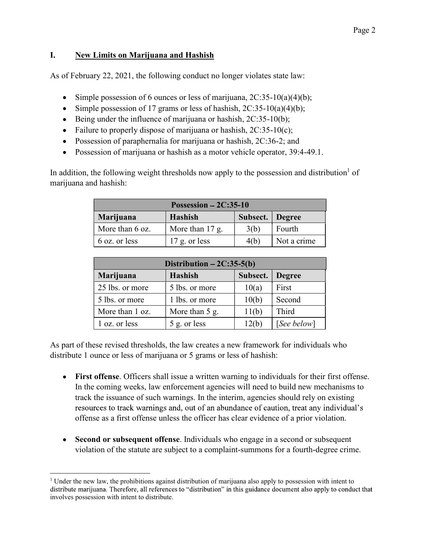## I. New Limits on Marijuana and Hashish

As of February 22, 2021, the following conduct no longer violates state law:

- Simple possession of 6 ounces or less of marijuana,  $2C:35-10(a)(4)(b)$ ;
- Simple possession of 17 grams or less of hashish,  $2C:35-10(a)(4)(b)$ ;
- Being under the influence of marijuana or hashish,  $2C:35-10(b)$ ;
- Failure to properly dispose of marijuana or hashish,  $2C:35-10(c)$ ;
- Possession of paraphernalia for marijuana or hashish, 2C:36-2; and
- Possession of marijuana or hashish as a motor vehicle operator, 39:4-49.1.

In addition, the following weight thresholds now apply to the possession and distribution<sup>1</sup> of marijuana and hashish:

| Possession $-2C:35-10$ |                   |                 |             |
|------------------------|-------------------|-----------------|-------------|
| Marijuana              | Hashish           | Subsect. Degree |             |
| More than 6 oz.        | More than $17$ g. | 3(b)            | Fourth      |
| 6 oz. or less          | $17$ g. or less   | 4(b)            | Not a crime |

| Distribution $-2C:35-5(b)$ |                |          |               |  |
|----------------------------|----------------|----------|---------------|--|
| Marijuana                  | Hashish        | Subsect. | <b>Degree</b> |  |
| 25 lbs. or more            | 5 lbs. or more | 10(a)    | First         |  |
| 5 lbs. or more             | 1 lbs. or more | 10(b)    | Second        |  |
| More than 1 oz.            | More than 5 g. | 11(b)    | Third         |  |
| 1 oz. or less              | 5 g. or less   | 12(b)    | [See below]   |  |

As part of these revised thresholds, the law creates a new framework for individuals who distribute 1 ounce or less of marijuana or 5 grams or less of hashish:

- First offense. Officers shall issue a written warning to individuals for their first offense. In the coming weeks, law enforcement agencies will need to build new mechanisms to track the issuance of such warnings. In the interim, agencies should rely on existing resources to track warnings and, out of an abundance of caution, treat any individual's offense as a first offense unless the officer has clear evidence of a prior violation.
- Second or subsequent offense. Individuals who engage in a second or subsequent  $\bullet$ violation of the statute are subject to a complaint-summons for a fourth-degree crime.

 $\overline{a}$ 

<sup>&</sup>lt;sup>1</sup> Under the new law, the prohibitions against distribution of marijuana also apply to possession with intent to distribute marijuana. Therefore, all references to "distribution" in this guidance document also apply to conduct that involves possession with intent to distribute.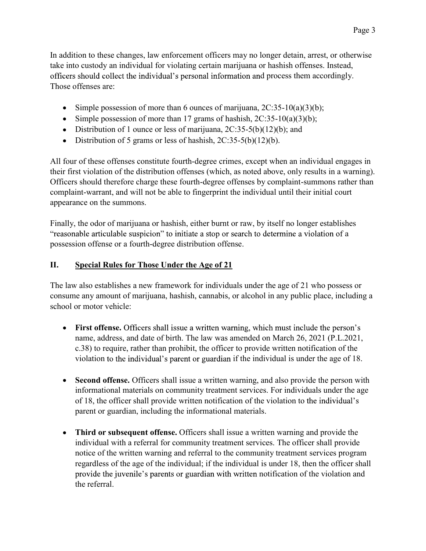In addition to these changes, law enforcement officers may no longer detain, arrest, or otherwise take into custody an individual for violating certain marijuana or hashish offenses. Instead, officers should collect the individual's personal information and process them accordingly. Those offenses are:

- $\bullet$  Simple possession of more than 6 ounces of marijuana,  $2C:35-10(a)(3)(b)$ ;
- Simple possession of more than 17 grams of hashish,  $2C:35-10(a)(3)(b)$ ;
- Distribution of 1 ounce or less of marijuana,  $2C:35-5(b)(12)(b)$ ; and
- Distribution of 5 grams or less of hashish,  $2C:35-5(b)(12)(b)$ .

All four of these offenses constitute fourth-degree crimes, except when an individual engages in their first violation of the distribution offenses (which, as noted above, only results in a warning). Officers should therefore charge these fourth-degree offenses by complaint-summons rather than complaint-warrant, and will not be able to fingerprint the individual until their initial court appearance on the summons.

Finally, the odor of marijuana or hashish, either burnt or raw, by itself no longer establishes a possession offense or a fourth-degree distribution offense.

## II. Special Rules for Those Under the Age of 21

The law also establishes a new framework for individuals under the age of 21 who possess or consume any amount of marijuana, hashish, cannabis, or alcohol in any public place, including a school or motor vehicle:

- First offense. Officers shall issue a written warning, which must include the person's name, address, and date of birth. The law was amended on March 26, 2021 (P.L.2021, c.38) to require, rather than prohibit, the officer to provide written notification of the violation to the individual's parent or guardian if the individual is under the age of 18.
- Second offense. Officers shall issue a written warning, and also provide the person with informational materials on community treatment services. For individuals under the age of 18, the officer shall provide written notification of the violation to parent or guardian, including the informational materials.
- Third or subsequent offense. Officers shall issue a written warning and provide the individual with a referral for community treatment services. The officer shall provide notice of the written warning and referral to the community treatment services program regardless of the age of the individual; if the individual is under 18, then the officer shall provide the juvenile's parents or guardian with written notification of the violation and the referral.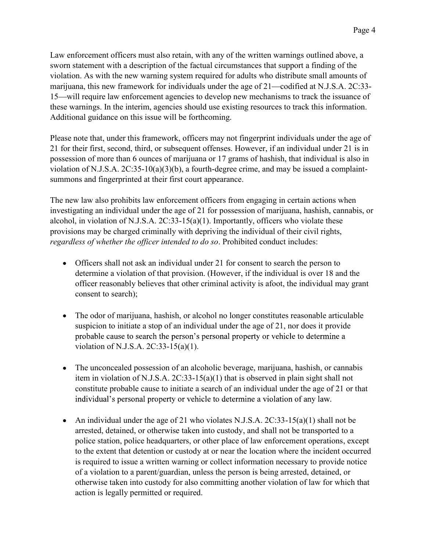Law enforcement officers must also retain, with any of the written warnings outlined above, a sworn statement with a description of the factual circumstances that support a finding of the violation. As with the new warning system required for adults who distribute small amounts of marijuana, this new framework for individuals under the age of 21—codified at N.J.S.A. 2C:33-15—will require law enforcement agencies to develop new mechanisms to track the issuance of these warnings. In the interim, agencies should use existing resources to track this information. Additional guidance on this issue will be forthcoming.

Please note that, under this framework, officers may not fingerprint individuals under the age of 21 for their first, second, third, or subsequent offenses. However, if an individual under 21 is in possession of more than 6 ounces of marijuana or 17 grams of hashish, that individual is also in violation of N.J.S.A.  $2C:35-10(a)(3)(b)$ , a fourth-degree crime, and may be issued a complaintsummons and fingerprinted at their first court appearance.

The new law also prohibits law enforcement officers from engaging in certain actions when investigating an individual under the age of 21 for possession of marijuana, hashish, cannabis, or alcohol, in violation of N.J.S.A.  $2C:33-15(a)(1)$ . Importantly, officers who violate these provisions may be charged criminally with depriving the individual of their civil rights, regardless of whether the officer intended to do so. Prohibited conduct includes:

- Officers shall not ask an individual under 21 for consent to search the person to determine a violation of that provision. (However, if the individual is over 18 and the officer reasonably believes that other criminal activity is afoot, the individual may grant consent to search);
- The odor of marijuana, hashish, or alcohol no longer constitutes reasonable articulable suspicion to initiate a stop of an individual under the age of 21, nor does it provide probable cause to search the person's personal property or vehicle to determine a violation of N.J.S.A. 2C:33-15(a)(1).
- The unconcealed possession of an alcoholic beverage, marijuana, hashish, or cannabis item in violation of N.J.S.A. 2C:33-15(a)(1) that is observed in plain sight shall not constitute probable cause to initiate a search of an individual under the age of 21 or that individual's personal property or vehicle to determine a violation of any law.
- An individual under the age of 21 who violates N.J.S.A.  $2C:33-15(a)(1)$  shall not be arrested, detained, or otherwise taken into custody, and shall not be transported to a police station, police headquarters, or other place of law enforcement operations, except to the extent that detention or custody at or near the location where the incident occurred is required to issue a written warning or collect information necessary to provide notice of a violation to a parent/guardian, unless the person is being arrested, detained, or otherwise taken into custody for also committing another violation of law for which that action is legally permitted or required.